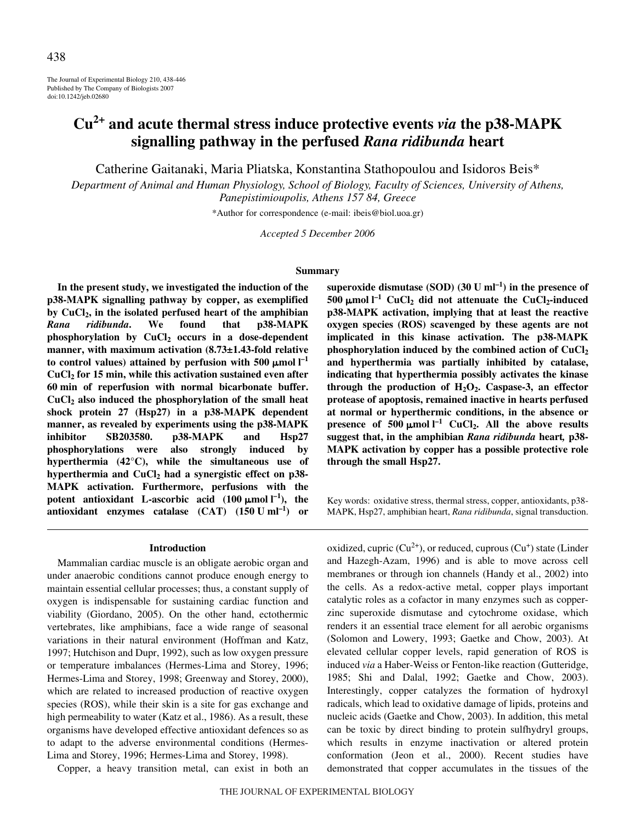The Journal of Experimental Biology 210, 438-446 Published by The Company of Biologists 2007 doi:10.1242/jeb.02680

# **Cu2+ and acute thermal stress induce protective events** *via* **the p38-MAPK signalling pathway in the perfused** *Rana ridibunda* **heart**

Catherine Gaitanaki, Maria Pliatska, Konstantina Stathopoulou and Isidoros Beis\*

*Department of Animal and Human Physiology, School of Biology, Faculty of Sciences, University of Athens, Panepistimioupolis, Athens 157 84, Greece*

\*Author for correspondence (e-mail: ibeis@biol.uoa.gr)

*Accepted 5 December 2006*

#### **Summary**

**In the present study, we investigated the induction of the p38-MAPK signalling pathway by copper, as exemplified by CuCl2, in the isolated perfused heart of the amphibian** *Rana ridibunda***. We found that p38-MAPK** phosphorylation by CuCl<sub>2</sub> occurs in a dose-dependent **manner, with maximum activation (8.73±1.43-fold relative** to control values) attained by perfusion with  $500 \mu$ mol  $l^{-1}$ **CuCl2 for 15·min, while this activation sustained even after 60·min of reperfusion with normal bicarbonate buffer. CuCl2 also induced the phosphorylation of the small heat shock protein 27 (Hsp27) in a p38-MAPK dependent manner, as revealed by experiments using the p38-MAPK inhibitor SB203580. p38-MAPK and Hsp27 phosphorylations were also strongly induced by hyperthermia (42°C), while the simultaneous use of hyperthermia and CuCl2 had a synergistic effect on p38- MAPK activation. Furthermore, perfusions with the** potent antioxidant L-ascorbic acid  $(100 \mu \text{mol})^{-1}$ , the antioxidant enzymes catalase  $(CAT)$   $(150 U ml^{-1})$  or

#### **Introduction**

Mammalian cardiac muscle is an obligate aerobic organ and under anaerobic conditions cannot produce enough energy to maintain essential cellular processes; thus, a constant supply of oxygen is indispensable for sustaining cardiac function and viability (Giordano, 2005). On the other hand, ectothermic vertebrates, like amphibians, face a wide range of seasonal variations in their natural environment (Hoffman and Katz, 1997; Hutchison and Dupr, 1992), such as low oxygen pressure or temperature imbalances (Hermes-Lima and Storey, 1996; Hermes-Lima and Storey, 1998; Greenway and Storey, 2000), which are related to increased production of reactive oxygen species (ROS), while their skin is a site for gas exchange and high permeability to water (Katz et al., 1986). As a result, these organisms have developed effective antioxidant defences so as to adapt to the adverse environmental conditions (Hermes-Lima and Storey, 1996; Hermes-Lima and Storey, 1998).

Copper, a heavy transition metal, can exist in both an

superoxide dismutase (SOD)  $(30 \text{ U ml}^{-1})$  in the presence of 500  $\mu$ mol l<sup>-1</sup> CuCl<sub>2</sub> did not attenuate the CuCl<sub>2</sub>-induced **p38-MAPK activation, implying that at least the reactive oxygen species (ROS) scavenged by these agents are not implicated in this kinase activation. The p38-MAPK phosphorylation induced by the combined action of CuCl2 and hyperthermia was partially inhibited by catalase, indicating that hyperthermia possibly activates the kinase through the production of H2O2. Caspase-3, an effector protease of apoptosis, remained inactive in hearts perfused at normal or hyperthermic conditions, in the absence or presence of 500**  $\mu$ mol  $I^{-1}$  CuCl<sub>2</sub>. All the above results **suggest that, in the amphibian** *Rana ridibunda* **heart***,* **p38- MAPK activation by copper has a possible protective role through the small Hsp27.**

Key words: oxidative stress, thermal stress, copper, antioxidants, p38- MAPK, Hsp27, amphibian heart, *Rana ridibunda*, signal transduction.

oxidized, cupric  $(Cu^{2+})$ , or reduced, cuprous  $(Cu^{+})$  state (Linder and Hazegh-Azam, 1996) and is able to move across cell membranes or through ion channels (Handy et al., 2002) into the cells. As a redox-active metal, copper plays important catalytic roles as a cofactor in many enzymes such as copperzinc superoxide dismutase and cytochrome oxidase, which renders it an essential trace element for all aerobic organisms (Solomon and Lowery, 1993; Gaetke and Chow, 2003). At elevated cellular copper levels, rapid generation of ROS is induced *via* a Haber-Weiss or Fenton-like reaction (Gutteridge, 1985; Shi and Dalal, 1992; Gaetke and Chow, 2003). Interestingly, copper catalyzes the formation of hydroxyl radicals, which lead to oxidative damage of lipids, proteins and nucleic acids (Gaetke and Chow, 2003). In addition, this metal can be toxic by direct binding to protein sulfhydryl groups, which results in enzyme inactivation or altered protein conformation (Jeon et al., 2000). Recent studies have demonstrated that copper accumulates in the tissues of the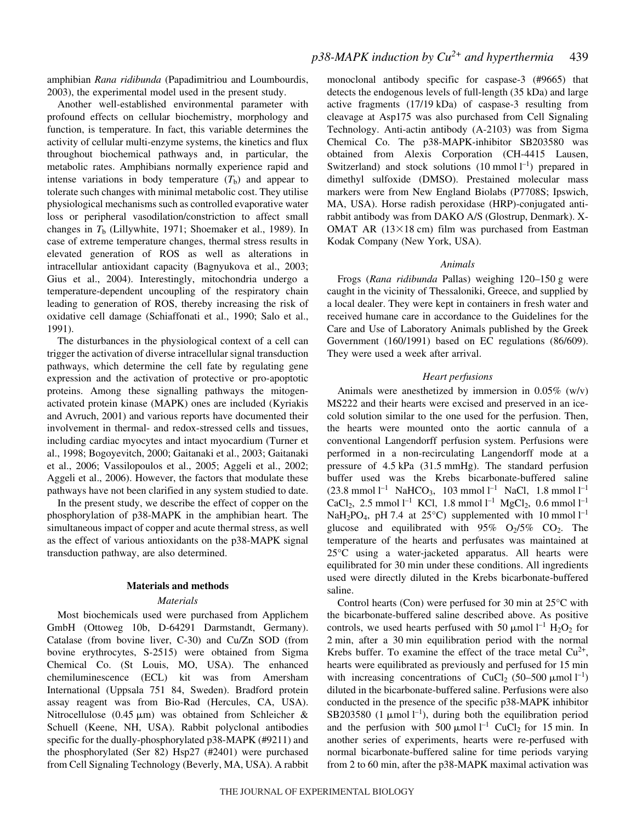amphibian *Rana ridibunda* (Papadimitriou and Loumbourdis, 2003), the experimental model used in the present study.

Another well-established environmental parameter with profound effects on cellular biochemistry, morphology and function, is temperature. In fact, this variable determines the activity of cellular multi-enzyme systems, the kinetics and flux throughout biochemical pathways and, in particular, the metabolic rates. Amphibians normally experience rapid and intense variations in body temperature  $(T<sub>b</sub>)$  and appear to tolerate such changes with minimal metabolic cost. They utilise physiological mechanisms such as controlled evaporative water loss or peripheral vasodilation/constriction to affect small changes in  $T<sub>b</sub>$  (Lillywhite, 1971; Shoemaker et al., 1989). In case of extreme temperature changes, thermal stress results in elevated generation of ROS as well as alterations in intracellular antioxidant capacity (Bagnyukova et al., 2003; Gius et al., 2004). Interestingly, mitochondria undergo a temperature-dependent uncoupling of the respiratory chain leading to generation of ROS, thereby increasing the risk of oxidative cell damage (Schiaffonati et al., 1990; Salo et al., 1991).

The disturbances in the physiological context of a cell can trigger the activation of diverse intracellular signal transduction pathways, which determine the cell fate by regulating gene expression and the activation of protective or pro-apoptotic proteins. Among these signalling pathways the mitogenactivated protein kinase (MAPK) ones are included (Kyriakis and Avruch, 2001) and various reports have documented their involvement in thermal- and redox-stressed cells and tissues, including cardiac myocytes and intact myocardium (Turner et al., 1998; Bogoyevitch, 2000; Gaitanaki et al., 2003; Gaitanaki et al., 2006; Vassilopoulos et al., 2005; Aggeli et al., 2002; Aggeli et al., 2006). However, the factors that modulate these pathways have not been clarified in any system studied to date.

In the present study, we describe the effect of copper on the phosphorylation of p38-MAPK in the amphibian heart. The simultaneous impact of copper and acute thermal stress, as well as the effect of various antioxidants on the p38-MAPK signal transduction pathway, are also determined.

### **Materials and methods**

## *Materials*

Most biochemicals used were purchased from Applichem GmbH (Ottoweg 10b, D-64291 Darmstandt, Germany). Catalase (from bovine liver, C-30) and Cu/Zn SOD (from bovine erythrocytes, S-2515) were obtained from Sigma Chemical Co. (St Louis, MO, USA). The enhanced chemiluminescence (ECL) kit was from Amersham International (Uppsala 751 84, Sweden). Bradford protein assay reagent was from Bio-Rad (Hercules, CA, USA). Nitrocellulose (0.45  $\mu$ m) was obtained from Schleicher & Schuell (Keene, NH, USA). Rabbit polyclonal antibodies specific for the dually-phosphorylated p38-MAPK (#9211) and the phosphorylated (Ser 82) Hsp27 (#2401) were purchased from Cell Signaling Technology (Beverly, MA, USA). A rabbit monoclonal antibody specific for caspase-3 (#9665) that detects the endogenous levels of full-length (35 kDa) and large active fragments (17/19 kDa) of caspase-3 resulting from cleavage at Asp175 was also purchased from Cell Signaling Technology. Anti-actin antibody (A-2103) was from Sigma Chemical Co. The p38-MAPK-inhibitor SB203580 was obtained from Alexis Corporation (CH-4415 Lausen, Switzerland) and stock solutions  $(10 \text{ mmol } l^{-1})$  prepared in dimethyl sulfoxide (DMSO). Prestained molecular mass markers were from New England Biolabs (P7708S; Ipswich, MA, USA). Horse radish peroxidase (HRP)-conjugated antirabbit antibody was from DAKO A/S (Glostrup, Denmark). X-OMAT AR  $(13\times18$  cm) film was purchased from Eastman Kodak Company (New York, USA).

#### *Animals*

Frogs (Rana ridibunda Pallas) weighing 120-150 g were caught in the vicinity of Thessaloniki, Greece, and supplied by a local dealer. They were kept in containers in fresh water and received humane care in accordance to the Guidelines for the Care and Use of Laboratory Animals published by the Greek Government (160/1991) based on EC regulations (86/609). They were used a week after arrival.

#### *Heart perfusions*

Animals were anesthetized by immersion in 0.05% (w/v) MS222 and their hearts were excised and preserved in an icecold solution similar to the one used for the perfusion. Then, the hearts were mounted onto the aortic cannula of a conventional Langendorff perfusion system. Perfusions were performed in a non-recirculating Langendorff mode at a pressure of 4.5 kPa (31.5 mmHg). The standard perfusion buffer used was the Krebs bicarbonate-buffered saline  $(23.8 \text{ mmol } l^{-1} \text{ NaHCO}_3, 103 \text{ mmol } l^{-1} \text{ NaCl}, 1.8 \text{ mmol } l^{-1}$ CaCl<sub>2</sub>, 2.5 mmol<sup>1-1</sup> KCl, 1.8 mmol<sup>1-1</sup> MgCl<sub>2</sub>, 0.6 mmol<sup>1-1</sup> NaH<sub>2</sub>PO<sub>4</sub>, pH 7.4 at 25°C) supplemented with 10 mmol  $l^{-1}$ glucose and equilibrated with  $95\%$  O<sub>2</sub>/5\% CO<sub>2</sub>. The temperature of the hearts and perfusates was maintained at 25°C using a water-jacketed apparatus. All hearts were equilibrated for 30 min under these conditions. All ingredients used were directly diluted in the Krebs bicarbonate-buffered saline.

Control hearts (Con) were perfused for 30 min at  $25^{\circ}$ C with the bicarbonate-buffered saline described above. As positive controls, we used hearts perfused with 50  $\mu$ mol l<sup>-1</sup> H<sub>2</sub>O<sub>2</sub> for 2 min, after a 30 min equilibration period with the normal Krebs buffer. To examine the effect of the trace metal  $Cu^{2+}$ , hearts were equilibrated as previously and perfused for 15 min with increasing concentrations of CuCl<sub>2</sub> (50–500  $\mu$ mol l<sup>-1</sup>) diluted in the bicarbonate-buffered saline. Perfusions were also conducted in the presence of the specific p38-MAPK inhibitor SB203580 (1  $\mu$ mol l<sup>-1</sup>), during both the equilibration period and the perfusion with 500  $\mu$ mol l<sup>-1</sup> CuCl<sub>2</sub> for 15 min. In another series of experiments, hearts were re-perfused with normal bicarbonate-buffered saline for time periods varying from 2 to 60 min, after the p38-MAPK maximal activation was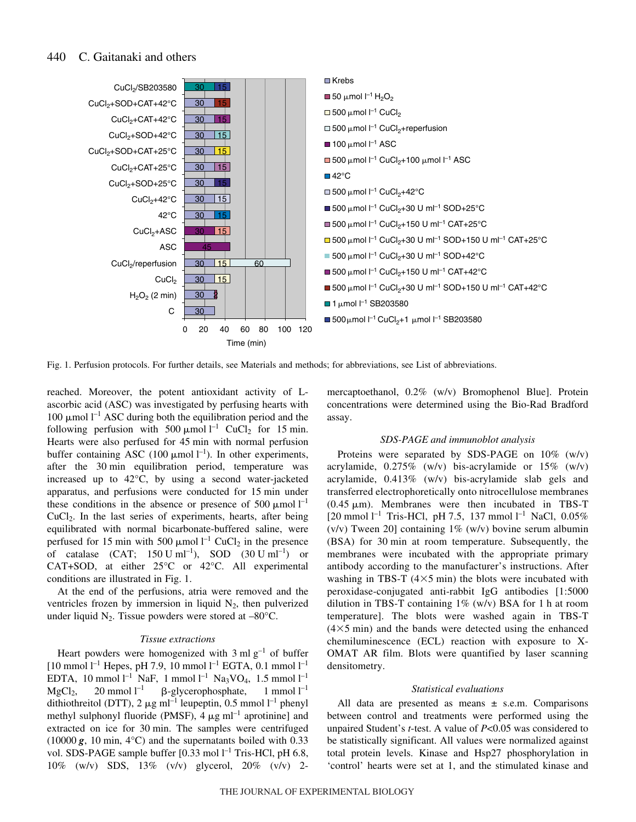#### 440 C. Gaitanaki and others



Fig. 1. Perfusion protocols. For further details, see Materials and methods; for abbreviations, see List of abbreviations.

reached. Moreover, the potent antioxidant activity of Lascorbic acid (ASC) was investigated by perfusing hearts with 100  $\mu$ mol l<sup>-1</sup> ASC during both the equilibration period and the following perfusion with 500  $\mu$ mol l<sup>-1</sup> CuCl<sub>2</sub> for 15 min. Hearts were also perfused for 45 min with normal perfusion buffer containing ASC (100  $\mu$ mol l<sup>-1</sup>). In other experiments, after the 30 min equilibration period, temperature was increased up to 42°C, by using a second water-jacketed apparatus, and perfusions were conducted for 15 min under these conditions in the absence or presence of 500  $\mu$ mol l<sup>-1</sup> CuCl2. In the last series of experiments, hearts, after being equilibrated with normal bicarbonate-buffered saline, were perfused for 15 min with 500  $\mu$ mol l<sup>-1</sup> CuCl<sub>2</sub> in the presence of catalase  $(CAT; 150 \text{ U ml}^{-1})$ , SOD  $(30 \text{ U ml}^{-1})$  or CAT+SOD, at either 25°C or 42°C. All experimental conditions are illustrated in Fig. 1.

At the end of the perfusions, atria were removed and the ventricles frozen by immersion in liquid  $N_2$ , then pulverized under liquid  $N_2$ . Tissue powders were stored at  $-80^{\circ}$ C.

## *Tissue extractions*

Heart powders were homogenized with  $3 \text{ ml } g^{-1}$  of buffer  $[10 \text{ mmol } l^{-1}$  Hepes, pH 7.9, 10 mmol  $l^{-1}$  EGTA, 0.1 mmol  $l^{-1}$ EDTA, 10 mmol  $l^{-1}$  NaF, 1 mmol  $l^{-1}$  Na<sub>3</sub>VO<sub>4</sub>, 1.5 mmol  $l^{-1}$  $MgCl<sub>2</sub>$ , 20 mmol  $l<sup>-1</sup>$  $^{-1}$   $\beta$ -glycerophosphate, 1 mmol l<sup>-1</sup> dithiothreitol (DTT), 2  $\mu$ g ml<sup>-1</sup> leupeptin, 0.5 mmol<sup>-1</sup> phenyl methyl sulphonyl fluoride (PMSF),  $4 \mu g$  ml<sup>-1</sup> aprotinine] and extracted on ice for 30 min. The samples were centrifuged (10000 $\mathbf{g}$ , 10 min, 4°C) and the supernatants boiled with 0.33 vol. SDS-PAGE sample buffer  $[0.33 \text{ mol } l^{-1}$  Tris-HCl, pH 6.8, 10% (w/v) SDS, 13% (v/v) glycerol, 20% (v/v) 2mercaptoethanol, 0.2% (w/v) Bromophenol Blue]. Protein concentrations were determined using the Bio-Rad Bradford assay.

# *SDS-PAGE and immunoblot analysis*

Proteins were separated by SDS-PAGE on 10% (w/v) acrylamide, 0.275% (w/v) bis-acrylamide or 15% (w/v) acrylamide, 0.413% (w/v) bis-acrylamide slab gels and transferred electrophoretically onto nitrocellulose membranes  $(0.45 \mu m)$ . Membranes were then incubated in TBS-T [20 mmol  $l^{-1}$  Tris-HCl, pH 7.5, 137 mmol  $l^{-1}$  NaCl, 0.05%  $(v/v)$  Tween 20] containing 1%  $(w/v)$  bovine serum albumin (BSA) for 30 min at room temperature. Subsequently, the membranes were incubated with the appropriate primary antibody according to the manufacturer's instructions. After washing in TBS-T  $(4\times5$  min) the blots were incubated with peroxidase-conjugated anti-rabbit IgG antibodies [1:5000 dilution in TBS-T containing  $1\%$  (w/v) BSA for 1 h at room temperature]. The blots were washed again in TBS-T  $(4\times5$  min) and the bands were detected using the enhanced chemiluminescence (ECL) reaction with exposure to X-OMAT AR film. Blots were quantified by laser scanning densitometry.

#### *Statistical evaluations*

All data are presented as means  $\pm$  s.e.m. Comparisons between control and treatments were performed using the unpaired Student's *t*-test. A value of *P*<0.05 was considered to be statistically significant. All values were normalized against total protein levels. Kinase and Hsp27 phosphorylation in 'control' hearts were set at 1, and the stimulated kinase and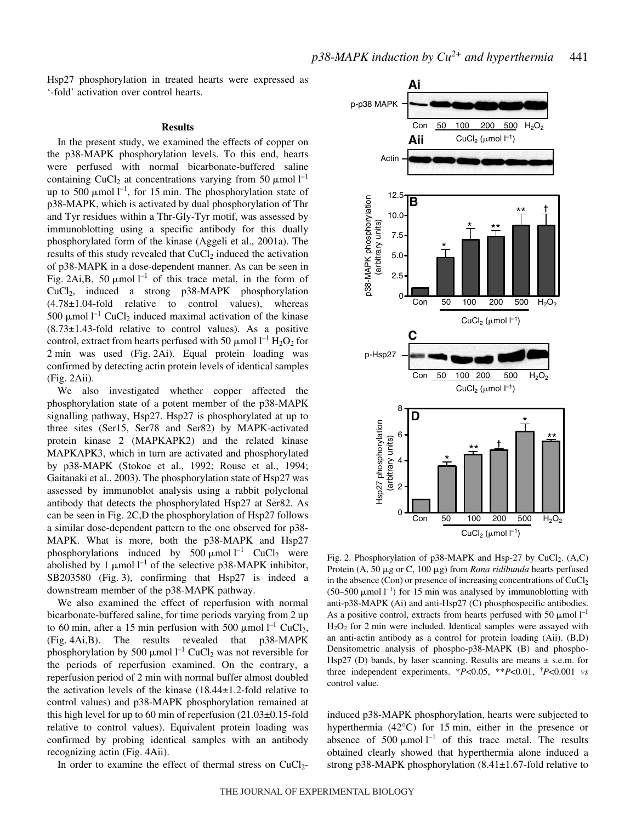Hsp27 phosphorylation in treated hearts were expressed as '-fold' activation over control hearts.

## **Results**

In the present study, we examined the effects of copper on the p38-MAPK phosphorylation levels. To this end, hearts were perfused with normal bicarbonate-buffered saline containing CuCl<sub>2</sub> at concentrations varying from 50  $\mu$ mol l<sup>-1</sup> up to 500  $\mu$ mol l<sup>-1</sup>, for 15 min. The phosphorylation state of p38-MAPK, which is activated by dual phosphorylation of Thr and Tyr residues within a Thr-Gly-Tyr motif, was assessed by immunoblotting using a specific antibody for this dually phosphorylated form of the kinase (Aggeli et al., 2001a). The results of this study revealed that  $CuCl<sub>2</sub>$  induced the activation of p38-MAPK in a dose-dependent manner. As can be seen in Fig. 2Ai,B, 50  $\mu$ mol l<sup>-1</sup> of this trace metal, in the form of CuCl2, induced a strong p38-MAPK phosphorylation (4.78±1.04-fold relative to control values), whereas 500  $\mu$ mol l<sup>-1</sup> CuCl<sub>2</sub> induced maximal activation of the kinase  $(8.73\pm1.43\text{-}fold$  relative to control values). As a positive control, extract from hearts perfused with 50  $\mu$ mol l<sup>-1</sup> H<sub>2</sub>O<sub>2</sub> for 2 min was used (Fig. 2Ai). Equal protein loading was confirmed by detecting actin protein levels of identical samples  $(Fig. 2Aii)$ .

We also investigated whether copper affected the phosphorylation state of a potent member of the p38-MAPK signalling pathway, Hsp27. Hsp27 is phosphorylated at up to three sites (Ser15, Ser78 and Ser82) by MAPK-activated protein kinase 2 (MAPKAPK2) and the related kinase MAPKAPK3, which in turn are activated and phosphorylated by p38-MAPK (Stokoe et al., 1992; Rouse et al., 1994; Gaitanaki et al., 2003). The phosphorylation state of Hsp27 was assessed by immunoblot analysis using a rabbit polyclonal antibody that detects the phosphorylated Hsp27 at Ser82. As can be seen in Fig. 2C,D the phosphorylation of Hsp27 follows a similar dose-dependent pattern to the one observed for p38- MAPK. What is more, both the p38-MAPK and Hsp27 phosphorylations induced by 500  $\mu$ mol l<sup>-1</sup> CuCl<sub>2</sub> were abolished by 1  $\mu$ mol l<sup>-1</sup> of the selective p38-MAPK inhibitor, SB203580 (Fig. 3), confirming that Hsp27 is indeed a downstream member of the p38-MAPK pathway.

We also examined the effect of reperfusion with normal bicarbonate-buffered saline, for time periods varying from 2 up to 60 min, after a 15 min perfusion with 500  $\mu$ mol l<sup>-1</sup> CuCl<sub>2</sub>,  $(Fig. 4Ai, B)$ . The results revealed that  $p38-MAPK$ phosphorylation by 500  $\mu$ mol l<sup>-1</sup> CuCl<sub>2</sub> was not reversible for the periods of reperfusion examined. On the contrary, a reperfusion period of 2 min with normal buffer almost doubled the activation levels of the kinase (18.44±1.2-fold relative to control values) and p38-MAPK phosphorylation remained at this high level for up to 60 min of reperfusion  $(21.03\pm0.15\text{-}fold$ relative to control values). Equivalent protein loading was confirmed by probing identical samples with an antibody recognizing actin (Fig. 4Aii).

In order to examine the effect of thermal stress on  $CuCl<sub>2</sub>$ -



Fig. 2. Phosphorylation of p38-MAPK and Hsp-27 by CuCl<sub>2</sub>. (A,C) Protein (A, 50 µg or C, 100 µg) from *Rana ridibunda* hearts perfused in the absence (Con) or presence of increasing concentrations of  $CuCl<sub>2</sub>$  $(50-500 \mu \text{mol} \; \text{l}^{-1})$  for 15 min was analysed by immunoblotting with anti-p38-MAPK (Ai) and anti-Hsp27 (C) phosphospecific antibodies. As a positive control, extracts from hearts perfused with 50  $\mu$ mol  $l^{-1}$  $H<sub>2</sub>O<sub>2</sub>$  for 2 min were included. Identical samples were assayed with an anti-actin antibody as a control for protein loading (Aii). (B,D) Densitometric analysis of phospho-p38-MAPK (B) and phospho-Hsp27 (D) bands, by laser scanning. Results are means  $\pm$  s.e.m. for three independent experiments. \**P*<0.05, \*\**P*<0.01, † *P*<0.001 *vs* control value.

induced p38-MAPK phosphorylation, hearts were subjected to hyperthermia  $(42^{\circ}C)$  for 15 min, either in the presence or absence of 500  $\mu$ mol<sup>1-1</sup> of this trace metal. The results obtained clearly showed that hyperthermia alone induced a strong p38-MAPK phosphorylation (8.41±1.67-fold relative to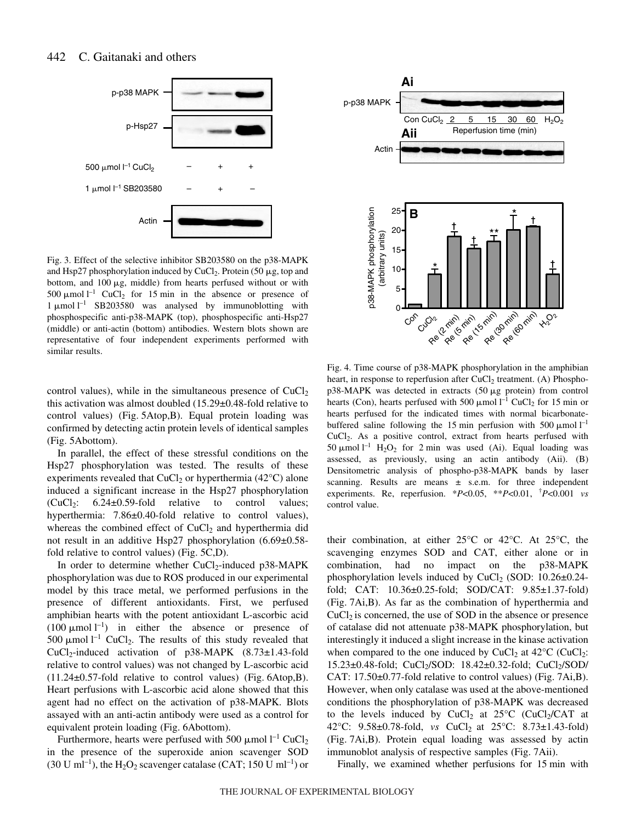#### 442 C. Gaitanaki and others



Fig. 3. Effect of the selective inhibitor SB203580 on the p38-MAPK and Hsp27 phosphorylation induced by CuCl<sub>2</sub>. Protein (50  $\mu$ g, top and bottom, and  $100 \mu g$ , middle) from hearts perfused without or with 500  $\mu$ mol<sup>1-1</sup> CuCl<sub>2</sub> for 15 min in the absence or presence of  $1 \mu$ mol  $1^{-1}$  SB203580 was analysed by immunoblotting with phosphospecific anti-p38-MAPK (top), phosphospecific anti-Hsp27 (middle) or anti-actin (bottom) antibodies. Western blots shown are representative of four independent experiments performed with similar results.

control values), while in the simultaneous presence of  $CuCl<sub>2</sub>$ this activation was almost doubled (15.29±0.48-fold relative to control values) (Fig. 5Atop,B). Equal protein loading was confirmed by detecting actin protein levels of identical samples (Fig. 5Abottom).

In parallel, the effect of these stressful conditions on the Hsp27 phosphorylation was tested. The results of these experiments revealed that  $CuCl<sub>2</sub>$  or hyperthermia (42 $°C$ ) alone induced a significant increase in the Hsp27 phosphorylation  $(CuCl<sub>2</sub>: 6.24±0.59-fold relative to control values;$ hyperthermia: 7.86±0.40-fold relative to control values), whereas the combined effect of  $CuCl<sub>2</sub>$  and hyperthermia did not result in an additive Hsp27 phosphorylation (6.69±0.58 fold relative to control values) (Fig.  $5C$ ,D).

In order to determine whether  $CuCl<sub>2</sub>$ -induced p38-MAPK phosphorylation was due to ROS produced in our experimental model by this trace metal, we performed perfusions in the presence of different antioxidants. First, we perfused amphibian hearts with the potent antioxidant L-ascorbic acid (100  $\mu$ mol l<sup>-1</sup>) in either the absence or presence of 500  $\mu$ mol l<sup>-1</sup> CuCl<sub>2</sub>. The results of this study revealed that  $CuCl<sub>2</sub>-induced activation of p38-MAPK (8.73±1.43-fold)$ relative to control values) was not changed by L-ascorbic acid  $(11.24\pm 0.57\text{-}$  fold relative to control values) (Fig. 6Atop, B). Heart perfusions with L-ascorbic acid alone showed that this agent had no effect on the activation of p38-MAPK. Blots assayed with an anti-actin antibody were used as a control for equivalent protein loading (Fig. 6Abottom).

Furthermore, hearts were perfused with 500  $\mu$ mol l<sup>-1</sup> CuCl<sub>2</sub> in the presence of the superoxide anion scavenger SOD (30 U ml<sup>-1</sup>), the H<sub>2</sub>O<sub>2</sub> scavenger catalase (CAT; 150 U ml<sup>-1</sup>) or



Fig. 4. Time course of p38-MAPK phosphorylation in the amphibian heart, in response to reperfusion after  $CuCl<sub>2</sub>$  treatment. (A) Phospho $p38-MAPK$  was detected in extracts (50  $\mu$ g protein) from control hearts (Con), hearts perfused with 500  $\mu$ mol l<sup>-1</sup> CuCl<sub>2</sub> for 15 min or hearts perfused for the indicated times with normal bicarbonatebuffered saline following the 15 min perfusion with 500  $\mu$ mol l<sup>-1</sup> CuCl2. As a positive control, extract from hearts perfused with 50  $\mu$ mol l<sup>-1</sup> H<sub>2</sub>O<sub>2</sub> for 2 min was used (Ai). Equal loading was assessed, as previously, using an actin antibody (Aii). (B) Densitometric analysis of phospho-p38-MAPK bands by laser scanning. Results are means  $\pm$  s.e.m. for three independent experiments. Re, reperfusion. \**P*<0.05, \*\**P*<0.01, † *P*<0.001 *vs* control value.

their combination, at either 25°C or 42°C. At 25°C, the scavenging enzymes SOD and CAT, either alone or in combination, had no impact on the p38-MAPK phosphorylation levels induced by  $CuCl<sub>2</sub>$  (SOD: 10.26 $\pm$ 0.24fold; CAT: 10.36±0.25-fold; SOD/CAT: 9.85±1.37-fold)  $(Fig. 7Ai, B)$ . As far as the combination of hyperthermia and  $CuCl<sub>2</sub>$  is concerned, the use of SOD in the absence or presence of catalase did not attenuate p38-MAPK phosphorylation, but interestingly it induced a slight increase in the kinase activation when compared to the one induced by CuCl<sub>2</sub> at  $42^{\circ}$ C (CuCl<sub>2</sub>:  $15.23\pm0.48\text{-}$ fold; CuCl<sub>2</sub>/SOD: 18.42 $\pm$ 0.32-fold; CuCl<sub>2</sub>/SOD/ CAT:  $17.50\pm0.77$ -fold relative to control values) (Fig. 7Ai,B). However, when only catalase was used at the above-mentioned conditions the phosphorylation of p38-MAPK was decreased to the levels induced by  $CuCl<sub>2</sub>$  at 25°C (CuCl<sub>2</sub>/CAT at 42°C: 9.58±0.78-fold, *vs* CuCl<sub>2</sub> at 25°C: 8.73±1.43-fold) (Fig. 7Ai, B). Protein equal loading was assessed by actin immunoblot analysis of respective samples (Fig. 7Aii).

Finally, we examined whether perfusions for 15 min with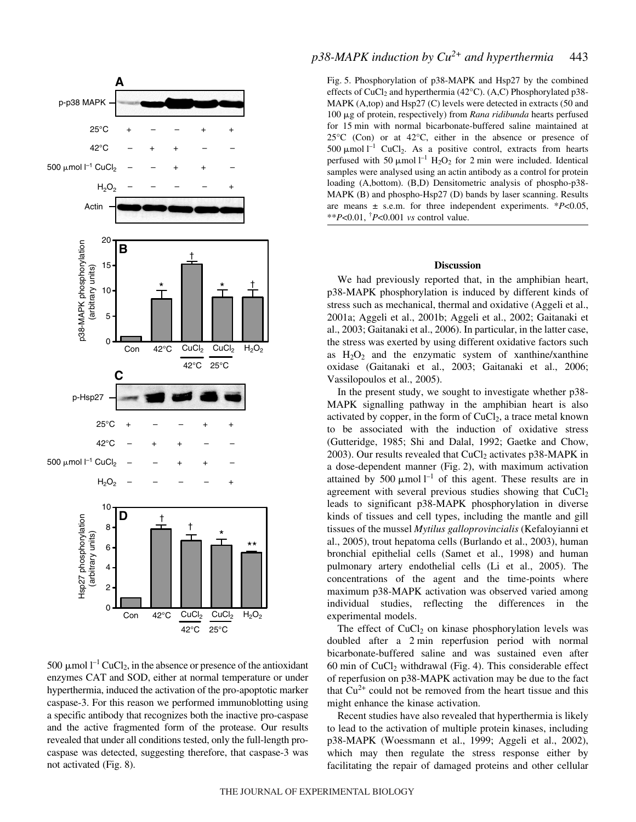

500  $\mu$ mol l<sup>-1</sup> CuCl<sub>2</sub>, in the absence or presence of the antioxidant enzymes CAT and SOD, either at normal temperature or under hyperthermia, induced the activation of the pro-apoptotic marker caspase-3. For this reason we performed immunoblotting using a specific antibody that recognizes both the inactive pro-caspase and the active fragmented form of the protease. Our results revealed that under all conditions tested, only the full-length procaspase was detected, suggesting therefore, that caspase-3 was not activated (Fig. 8).

# $p38-MAPK$  *induction by*  $Cu^{2+}$  *and hyperthermia* 443

Fig. 5. Phosphorylation of p38-MAPK and Hsp27 by the combined effects of CuCl<sub>2</sub> and hyperthermia (42°C). (A,C) Phosphorylated p38-MAPK (A,top) and Hsp27 (C) levels were detected in extracts (50 and 100 μg of protein, respectively) from *Rana ridibunda* hearts perfused for 15 min with normal bicarbonate-buffered saline maintained at 25°C (Con) or at 42°C, either in the absence or presence of 500  $\mu$ mol l<sup>-1</sup> CuCl<sub>2</sub>. As a positive control, extracts from hearts perfused with 50  $\mu$ mol l<sup>-1</sup> H<sub>2</sub>O<sub>2</sub> for 2 min were included. Identical samples were analysed using an actin antibody as a control for protein loading (A,bottom). (B,D) Densitometric analysis of phospho-p38- MAPK (B) and phospho-Hsp27 (D) bands by laser scanning. Results are means ± s.e.m. for three independent experiments. \**P*<0.05, \*\**P*<0.01, † *P*<0.001 *vs* control value.

#### **Discussion**

We had previously reported that, in the amphibian heart, p38-MAPK phosphorylation is induced by different kinds of stress such as mechanical, thermal and oxidative (Aggeli et al., 2001a; Aggeli et al., 2001b; Aggeli et al., 2002; Gaitanaki et al., 2003; Gaitanaki et al., 2006). In particular, in the latter case, the stress was exerted by using different oxidative factors such as  $H_2O_2$  and the enzymatic system of xanthine/xanthine oxidase (Gaitanaki et al., 2003; Gaitanaki et al., 2006; Vassilopoulos et al., 2005).

In the present study, we sought to investigate whether p38- MAPK signalling pathway in the amphibian heart is also activated by copper, in the form of  $CuCl<sub>2</sub>$ , a trace metal known to be associated with the induction of oxidative stress (Gutteridge, 1985; Shi and Dalal, 1992; Gaetke and Chow, 2003). Our results revealed that  $CuCl<sub>2</sub>$  activates p38-MAPK in a dose-dependent manner (Fig. 2), with maximum activation attained by 500  $\mu$ mol l<sup>-1</sup> of this agent. These results are in agreement with several previous studies showing that  $CuCl<sub>2</sub>$ leads to significant p38-MAPK phosphorylation in diverse kinds of tissues and cell types, including the mantle and gill tissues of the mussel *Mytilus galloprovincialis* (Kefaloyianni et al., 2005), trout hepatoma cells (Burlando et al., 2003), human bronchial epithelial cells (Samet et al., 1998) and human pulmonary artery endothelial cells (Li et al., 2005). The concentrations of the agent and the time-points where maximum p38-MAPK activation was observed varied among individual studies, reflecting the differences in the experimental models.

The effect of  $CuCl<sub>2</sub>$  on kinase phosphorylation levels was doubled after a 2-min reperfusion period with normal bicarbonate-buffered saline and was sustained even after 60 min of  $CuCl<sub>2</sub>$  withdrawal (Fig. 4). This considerable effect of reperfusion on p38-MAPK activation may be due to the fact that  $Cu<sup>2+</sup>$  could not be removed from the heart tissue and this might enhance the kinase activation.

Recent studies have also revealed that hyperthermia is likely to lead to the activation of multiple protein kinases, including p38-MAPK (Woessmann et al., 1999; Aggeli et al., 2002), which may then regulate the stress response either by facilitating the repair of damaged proteins and other cellular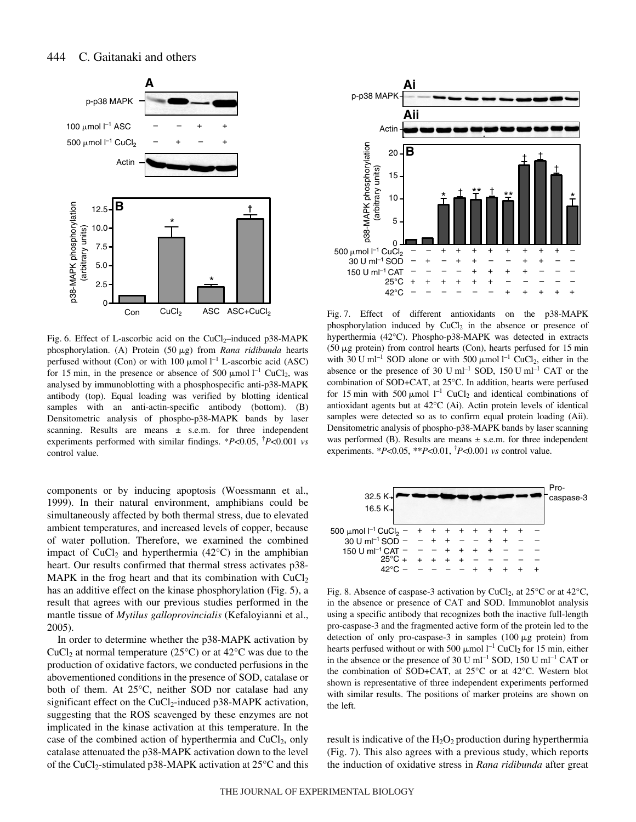

Fig. 6. Effect of L-ascorbic acid on the CuCl<sub>2</sub>–induced p38-MAPK phosphorylation. (A) Protein (50 µg) from *Rana ridibunda* hearts perfused without (Con) or with 100  $\mu$ mol l<sup>-1</sup> L-ascorbic acid (ASC) for 15 min, in the presence or absence of 500  $\mu$ mol l<sup>-1</sup> CuCl<sub>2</sub>, was analysed by immunoblotting with a phosphospecific anti-p38-MAPK antibody (top). Equal loading was verified by blotting identical samples with an anti-actin-specific antibody (bottom). (B) Densitometric analysis of phospho-p38-MAPK bands by laser scanning. Results are means  $\pm$  s.e.m. for three independent experiments performed with similar findings. \**P*<0.05, † *P*<0.001 *vs* control value.

components or by inducing apoptosis (Woessmann et al., 1999). In their natural environment, amphibians could be simultaneously affected by both thermal stress, due to elevated ambient temperatures, and increased levels of copper, because of water pollution. Therefore, we examined the combined impact of CuCl<sub>2</sub> and hyperthermia (42 $^{\circ}$ C) in the amphibian heart. Our results confirmed that thermal stress activates p38- MAPK in the frog heart and that its combination with  $CuCl<sub>2</sub>$ has an additive effect on the kinase phosphorylation (Fig. 5), a result that agrees with our previous studies performed in the mantle tissue of *Mytilus galloprovincialis* (Kefaloyianni et al., 2005).

In order to determine whether the p38-MAPK activation by CuCl<sub>2</sub> at normal temperature (25 $^{\circ}$ C) or at 42 $^{\circ}$ C was due to the production of oxidative factors, we conducted perfusions in the abovementioned conditions in the presence of SOD, catalase or both of them. At 25°C, neither SOD nor catalase had any significant effect on the  $CuCl<sub>2</sub>$ -induced p38-MAPK activation, suggesting that the ROS scavenged by these enzymes are not implicated in the kinase activation at this temperature. In the case of the combined action of hyperthermia and  $CuCl<sub>2</sub>$ , only catalase attenuated the p38-MAPK activation down to the level of the CuCl<sub>2</sub>-stimulated p38-MAPK activation at  $25^{\circ}$ C and this



Fig. 7. Effect of different antioxidants on the p38-MAPK phosphorylation induced by  $CuCl<sub>2</sub>$  in the absence or presence of hyperthermia (42°C). Phospho-p38-MAPK was detected in extracts  $(50 \mu g$  protein) from control hearts (Con), hearts perfused for 15 min with 30 U ml<sup>-1</sup> SOD alone or with 500  $\mu$ mol l<sup>-1</sup> CuCl<sub>2</sub>, either in the absence or the presence of 30 U  $ml^{-1}$  SOD, 150 U  $ml^{-1}$  CAT or the combination of SOD+CAT, at 25°C. In addition, hearts were perfused for 15 min with 500  $\mu$ mol l<sup>-1</sup> CuCl<sub>2</sub> and identical combinations of antioxidant agents but at 42°C (Ai). Actin protein levels of identical samples were detected so as to confirm equal protein loading (Aii). Densitometric analysis of phospho-p38-MAPK bands by laser scanning was performed (B). Results are means  $\pm$  s.e.m. for three independent experiments. \**P*<0.05, \*\**P*<0.01, † *P*<0.001 *vs* control value.



Fig. 8. Absence of caspase-3 activation by CuCl<sub>2</sub>, at  $25^{\circ}$ C or at  $42^{\circ}$ C, in the absence or presence of CAT and SOD. Immunoblot analysis using a specific antibody that recognizes both the inactive full-length pro-caspase-3 and the fragmented active form of the protein led to the detection of only pro-caspase-3 in samples  $(100 \mu g)$  protein) from hearts perfused without or with 500  $\mu$ mol l<sup>-1</sup> CuCl<sub>2</sub> for 15 min, either in the absence or the presence of 30 U ml<sup>-1</sup> SOD, 150 U ml<sup>-1</sup> CAT or the combination of SOD+CAT, at 25°C or at 42°C. Western blot shown is representative of three independent experiments performed with similar results. The positions of marker proteins are shown on the left.

result is indicative of the  $H_2O_2$  production during hyperthermia (Fig. 7). This also agrees with a previous study, which reports the induction of oxidative stress in *Rana ridibunda* after great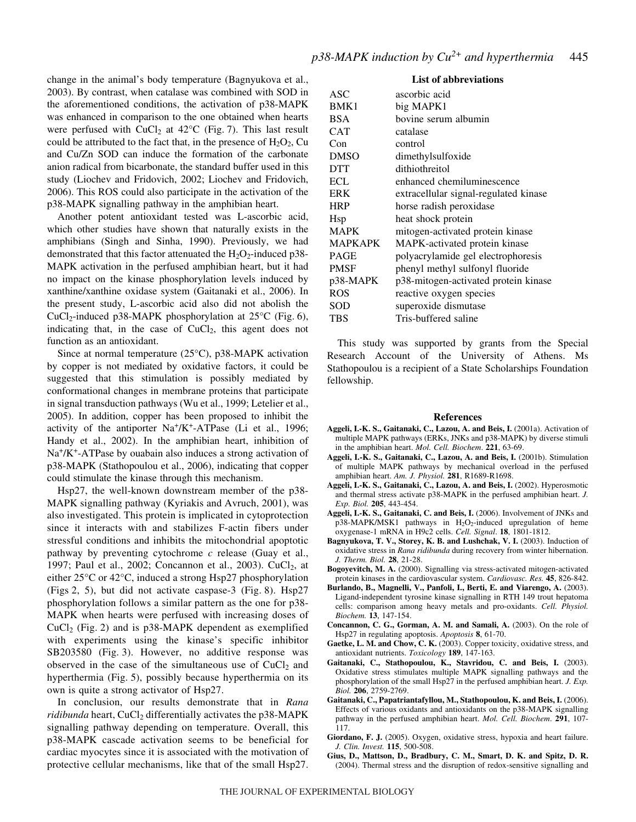change in the animal's body temperature (Bagnyukova et al., 2003). By contrast, when catalase was combined with SOD in the aforementioned conditions, the activation of p38-MAPK was enhanced in comparison to the one obtained when hearts were perfused with  $CuCl<sub>2</sub>$  at 42°C (Fig. 7). This last result could be attributed to the fact that, in the presence of  $H_2O_2$ , Cu and Cu/Zn SOD can induce the formation of the carbonate anion radical from bicarbonate, the standard buffer used in this study (Liochev and Fridovich, 2002; Liochev and Fridovich, 2006). This ROS could also participate in the activation of the p38-MAPK signalling pathway in the amphibian heart.

Another potent antioxidant tested was L-ascorbic acid, which other studies have shown that naturally exists in the amphibians (Singh and Sinha, 1990). Previously, we had demonstrated that this factor attenuated the  $H_2O_2$ -induced p38-MAPK activation in the perfused amphibian heart, but it had no impact on the kinase phosphorylation levels induced by xanthine/xanthine oxidase system (Gaitanaki et al., 2006). In the present study, L-ascorbic acid also did not abolish the CuCl<sub>2</sub>-induced p38-MAPK phosphorylation at  $25^{\circ}$ C (Fig. 6), indicating that, in the case of  $CuCl<sub>2</sub>$ , this agent does not function as an antioxidant.

Since at normal temperature (25°C), p38-MAPK activation by copper is not mediated by oxidative factors, it could be suggested that this stimulation is possibly mediated by conformational changes in membrane proteins that participate in signal transduction pathways (Wu et al., 1999; Letelier et al., 2005). In addition, copper has been proposed to inhibit the activity of the antiporter  $Na^+/K^+$ -ATPase (Li et al., 1996; Handy et al., 2002). In the amphibian heart, inhibition of  $Na<sup>+</sup>/K<sup>+</sup>-ATPase$  by ouabain also induces a strong activation of p38-MAPK (Stathopoulou et al., 2006), indicating that copper could stimulate the kinase through this mechanism.

Hsp27, the well-known downstream member of the p38- MAPK signalling pathway (Kyriakis and Avruch, 2001), was also investigated. This protein is implicated in cytoprotection since it interacts with and stabilizes F-actin fibers under stressful conditions and inhibits the mitochondrial apoptotic pathway by preventing cytochrome *c* release (Guay et al., 1997; Paul et al., 2002; Concannon et al., 2003). CuCl<sub>2</sub>, at either 25°C or 42°C, induced a strong Hsp27 phosphorylation (Figs 2, 5), but did not activate caspase-3 (Fig. 8). Hsp27 phosphorylation follows a similar pattern as the one for p38- MAPK when hearts were perfused with increasing doses of  $CuCl<sub>2</sub>$  (Fig. 2) and is p38-MAPK dependent as exemplified with experiments using the kinase's specific inhibitor SB203580 (Fig. 3). However, no additive response was observed in the case of the simultaneous use of  $CuCl<sub>2</sub>$  and hyperthermia (Fig. 5), possibly because hyperthermia on its own is quite a strong activator of Hsp27.

In conclusion, our results demonstrate that in *Rana ridibunda* heart, CuCl<sub>2</sub> differentially activates the p38-MAPK signalling pathway depending on temperature. Overall, this p38-MAPK cascade activation seems to be beneficial for cardiac myocytes since it is associated with the motivation of protective cellular mechanisms, like that of the small Hsp27.

### **List of abbreviations**

| ASC.           | ascorbic acid                         |
|----------------|---------------------------------------|
| BMK1           | big MAPK1                             |
| <b>BSA</b>     | bovine serum albumin                  |
| <b>CAT</b>     | catalase                              |
| Con            | control                               |
| <b>DMSO</b>    | dimethylsulfoxide                     |
| <b>DTT</b>     | dithiothreitol                        |
| <b>ECL</b>     | enhanced chemiluminescence            |
| <b>ERK</b>     | extracellular signal-regulated kinase |
| <b>HRP</b>     | horse radish peroxidase               |
| Hsp            | heat shock protein                    |
| <b>MAPK</b>    | mitogen-activated protein kinase      |
| <b>MAPKAPK</b> | MAPK-activated protein kinase         |
| <b>PAGE</b>    | polyacrylamide gel electrophoresis    |
| <b>PMSF</b>    | phenyl methyl sulfonyl fluoride       |
| p38-MAPK       | p38-mitogen-activated protein kinase  |
| <b>ROS</b>     | reactive oxygen species               |
| SOD            | superoxide dismutase                  |
| TBS            | Tris-buffered saline                  |
|                |                                       |

This study was supported by grants from the Special Research Account of the University of Athens. Ms Stathopoulou is a recipient of a State Scholarships Foundation fellowship.

#### **References**

- **Aggeli, I.-K. S., Gaitanaki, C., Lazou, A. and Beis, I.** (2001a). Activation of multiple MAPK pathways (ERKs, JNKs and p38-MAPK) by diverse stimuli in the amphibian heart. *Mol. Cell. Biochem*. **221**, 63-69.
- **Aggeli, I.-K. S., Gaitanaki, C., Lazou, A. and Beis, I.** (2001b). Stimulation of multiple MAPK pathways by mechanical overload in the perfused amphibian heart. *Am. J. Physiol.* **281**, R1689-R1698.
- **Aggeli, I.-K. S., Gaitanaki, C., Lazou, A. and Beis, I.** (2002). Hyperosmotic and thermal stress activate p38-MAPK in the perfused amphibian heart. *J. Exp. Biol.* **205**, 443-454.
- **Aggeli, I.-K. S., Gaitanaki, C. and Beis, I.** (2006). Involvement of JNKs and  $p38-MAPK/MSK1$  pathways in  $H_2O_2$ -induced upregulation of heme oxygenase-1 mRNA in H9c2 cells. *Cell. Signal*. **18**, 1801-1812.
- **Bagnyukova, T. V., Storey, K. B. and Lushchak, V. I.** (2003). Induction of oxidative stress in *Rana ridibunda* during recovery from winter hibernation. *J. Therm. Biol.* **28**, 21-28.
- **Bogoyevitch, M. A.** (2000). Signalling via stress-activated mitogen-activated protein kinases in the cardiovascular system. *Cardiovasc. Res.* **45**, 826-842.
- **Burlando, B., Magnelli, V., Panfoli, I., Berti, E. and Viarengo, A.** (2003). Ligand-independent tyrosine kinase signalling in RTH 149 trout hepatoma cells: comparison among heavy metals and pro-oxidants. *Cell. Physiol. Biochem.* **13**, 147-154.
- **Concannon, C. G., Gorman, A. M. and Samali, A.** (2003). On the role of Hsp27 in regulating apoptosis. *Apoptosis* **8**, 61-70.
- **Gaetke, L. M. and Chow, C. K.** (2003). Copper toxicity, oxidative stress, and antioxidant nutrients. *Toxicology* **189**, 147-163.
- **Gaitanaki, C., Stathopoulou, K., Stavridou, C. and Beis, I.** (2003). Oxidative stress stimulates multiple MAPK signalling pathways and the phosphorylation of the small Hsp27 in the perfused amphibian heart. *J. Exp. Biol.* **206**, 2759-2769.
- **Gaitanaki, C., Papatriantafyllou, M., Stathopoulou, K. and Beis, I.** (2006). Effects of various oxidants and antioxidants on the p38-MAPK signalling pathway in the perfused amphibian heart. *Mol. Cell. Biochem*. **291**, 107- 117.
- **Giordano, F. J.** (2005). Oxygen, oxidative stress, hypoxia and heart failure. *J. Clin. Invest.* **115**, 500-508.
- **Gius, D., Mattson, D., Bradbury, C. M., Smart, D. K. and Spitz, D. R.** (2004). Thermal stress and the disruption of redox-sensitive signalling and